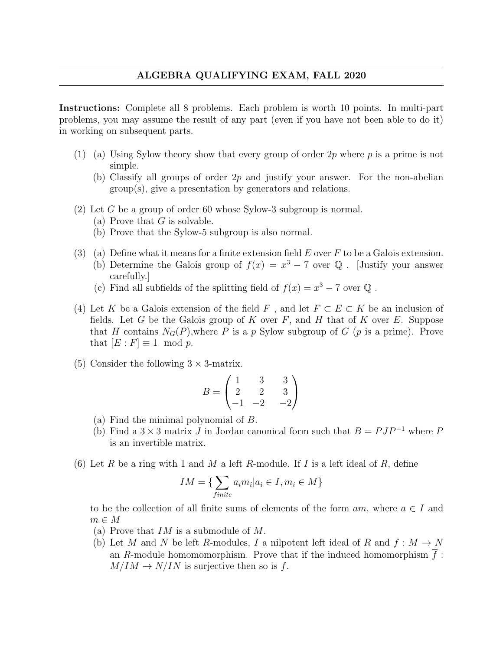## ALGEBRA QUALIFYING EXAM, FALL 2020

Instructions: Complete all 8 problems. Each problem is worth 10 points. In multi-part problems, you may assume the result of any part (even if you have not been able to do it) in working on subsequent parts.

- (1) (a) Using Sylow theory show that every group of order  $2p$  where p is a prime is not simple.
	- (b) Classify all groups of order  $2p$  and justify your answer. For the non-abelian group(s), give a presentation by generators and relations.
- (2) Let G be a group of order 60 whose Sylow-3 subgroup is normal.
	- (a) Prove that  $G$  is solvable.
	- (b) Prove that the Sylow-5 subgroup is also normal.
- (3) (a) Define what it means for a finite extension field  $E$  over  $F$  to be a Galois extension. (b) Determine the Galois group of  $f(x) = x^3 - 7$  over Q. [Justify your answer carefully.]
	- (c) Find all subfields of the splitting field of  $f(x) = x^3 7$  over  $\mathbb{Q}$ .
- (4) Let K be a Galois extension of the field F, and let  $F \subset E \subset K$  be an inclusion of fields. Let G be the Galois group of K over  $F$ , and H that of K over E. Suppose that H contains  $N_G(P)$ , where P is a p Sylow subgroup of G (p is a prime). Prove that  $[E : F] \equiv 1 \mod p$ .
- (5) Consider the following  $3 \times 3$ -matrix.

$$
B = \begin{pmatrix} 1 & 3 & 3 \\ 2 & 2 & 3 \\ -1 & -2 & -2 \end{pmatrix}
$$

- (a) Find the minimal polynomial of B.
- (b) Find a 3  $\times$  3 matrix J in Jordan canonical form such that  $B = PJP^{-1}$  where P is an invertible matrix.
- (6) Let R be a ring with 1 and M a left R-module. If I is a left ideal of R, define

$$
IM = \{ \sum_{finite} a_i m_i | a_i \in I, m_i \in M \}
$$

to be the collection of all finite sums of elements of the form  $am$ , where  $a \in I$  and  $m \in M$ 

- (a) Prove that  $IM$  is a submodule of M.
- (b) Let M and N be left R-modules, I a nilpotent left ideal of R and  $f : M \to N$ an R-module homomomorphism. Prove that if the induced homomorphism  $\overline{f}$ :  $M/IM \rightarrow N/IN$  is surjective then so is f.